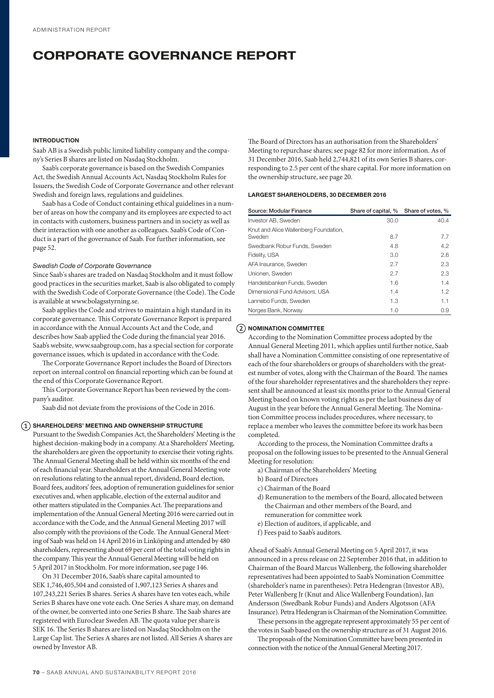# CORPORATE GOVERNANCE REPORT

# INTRODUCTION

Saab AB is a Swedish public limited liability company and the company's Series B shares are listed on Nasdaq Stockholm.

Saab's corporate governance is based on the Swedish Companies Act, the Swedish Annual Accounts Act, Nasdaq Stockholm Rules for Issuers, the Swedish Code of Corporate Governance and other relevant Swedish and foreign laws, regulations and guidelines.

Saab has a Code of Conduct containing ethical guidelines in a number of areas on how the company and its employees are expected to act in contacts with customers, business partners and in society as well as their interaction with one another as colleagues. Saab's Code of Conduct is a part of the governance of Saab. For further information, see page 52.

### *Swedish Code of Corporate Governance*

Since Saab's shares are traded on Nasdaq Stockholm and it must follow good practices in the securities market, Saab is also obligated to comply with the Swedish Code of Corporate Governance (the Code). The Code is available at www.bolagsstyrning.se.

Saab applies the Code and strives to maintain a high standard in its corporate governance. This Corporate Governance Report is prepared in accordance with the Annual Accounts Act and the Code, and describes how Saab applied the Code during the financial year 2016. Saab's website, www.saabgroup.com, has a special section for corporate governance issues, which is updated in accordance with the Code.

The Corporate Governance Report includes the Board of Directors report on internal control on financial reporting which can be found at the end of this Corporate Governance Report.

This Corporate Governance Report has been reviewed by the company's auditor.

Saab did not deviate from the provisions of the Code in 2016.

# $\Omega$  SHAREHOLDERS' MEETING AND OWNERSHIP STRUCTURE

Pursuant to the Swedish Companies Act, the Shareholders' Meeting is the highest decision-making body in a company. At a Shareholders' Meeting, the shareholders are given the opportunity to exercise their voting rights. The Annual General Meeting shall be held within six months of the end of each financial year. Shareholders at the Annual General Meeting vote on resolutions relating to the annual report, dividend, Board election, Board fees, auditors' fees, adoption of remuneration guidelines for senior executives and, when applicable, election of the external auditor and other matters stipulated in the Companies Act. The preparations and implementation of the Annual General Meeting 2016 were carried out in accordance with the Code, and the Annual General Meeting 2017 will also comply with the provisions of the Code. The Annual General Meeting of Saab was held on 14 April 2016 in Linköping and attended by 480 shareholders, representing about 69 per cent of the total voting rights in the company. This year the Annual General Meeting will be held on 5 April 2017 in Stockholm. For more information, see page 146.

On 31 December 2016, Saab's share capital amounted to SEK 1,746,405,504 and consisted of 1,907,123 Series A shares and 107,243,221 Series B shares. Series A shares have ten votes each, while Series B shares have one vote each. One Series A share may, on demand of the owner, be converted into one Series B share. The Saab shares are registered with Euroclear Sweden AB. The quota value per share is SEK 16. The Series B shares are listed on Nasdaq Stockholm on the Large Cap list. The Series A shares are not listed. All Series A shares are owned by Investor AB.

The Board of Directors has an authorisation from the Shareholders' Meeting to repurchase shares; see page 82 for more information. As of 31 December 2016, Saab held 2,744,821 of its own Series B shares, corresponding to 2.5 per cent of the share capital. For more information on the ownership structure, see page 20.

# LARGEST SHAREHOLDERS, 30 DECEMBER 2016

| Source: Modular Finance                         | Share of capital, % Share of votes, % |      |
|-------------------------------------------------|---------------------------------------|------|
| Investor AB, Sweden                             | 30.0                                  | 40.4 |
| Knut and Alice Wallenberg Foundation,<br>Sweden | 8.7                                   | 7.7  |
| Swedbank Robur Funds, Sweden                    | 4.8                                   | 4.2  |
| Fidelity, USA                                   | 3.0                                   | 2.6  |
| AFA Insurance, Sweden                           | 2.7                                   | 2.3  |
| Unionen, Sweden                                 | 2.7                                   | 2.3  |
| Handelsbanken Funds, Sweden                     | 1.6                                   | 1.4  |
| Dimensional Fund Advisors, USA                  | 1.4                                   | 1.2  |
| Lannebo Funds, Sweden                           | 1.3                                   | 1.1  |
| Norges Bank, Norway                             | 1.0                                   | 0.9  |

#### $(2)$  NOMINATION COMMITTEE

According to the Nomination Committee process adopted by the Annual General Meeting 2011, which applies until further notice, Saab shall have a Nomination Committee consisting of one representative of each of the four shareholders or groups of shareholders with the greatest number of votes, along with the Chairman of the Board. The names of the four shareholder representatives and the shareholders they represent shall be announced at least six months prior to the Annual General Meeting based on known voting rights as per the last business day of August in the year before the Annual General Meeting. The Nomination Committee process includes procedures, where necessary, to replace a member who leaves the committee before its work has been completed.

According to the process, the Nomination Committee drafts a proposal on the following issues to be presented to the Annual General Meeting for resolution:

- a) Chairman of the Shareholders' Meeting
- b) Board of Directors
- c) Chairman of the Board
- d) Remuneration to the members of the Board, allocated between the Chairman and other members of the Board, and remuneration for committee work
- e) Election of auditors, if applicable, and
- f) Fees paid to Saab's auditors.

Ahead of Saab's Annual General Meeting on 5 April 2017, it was announced in a press release on 22 September 2016 that, in addition to Chairman of the Board Marcus Wallenberg, the following shareholder representatives had been appointed to Saab's Nomination Committee (shareholder's name in parentheses): Petra Hedengran (Investor AB), Peter Wallenberg Jr (Knut and Alice Wallenberg Foundation), Jan Andersson (Swedbank Robur Funds) and Anders Algotsson (AFA Insurance). Petra Hedengran is Chairman of the Nomination Committee.

These persons in the aggregate represent approximately 55 per cent of the votes in Saab based on the ownership structure as of 31 August 2016.

The proposals of the Nomination Committee have been presented in connection with the notice of the Annual General Meeting 2017.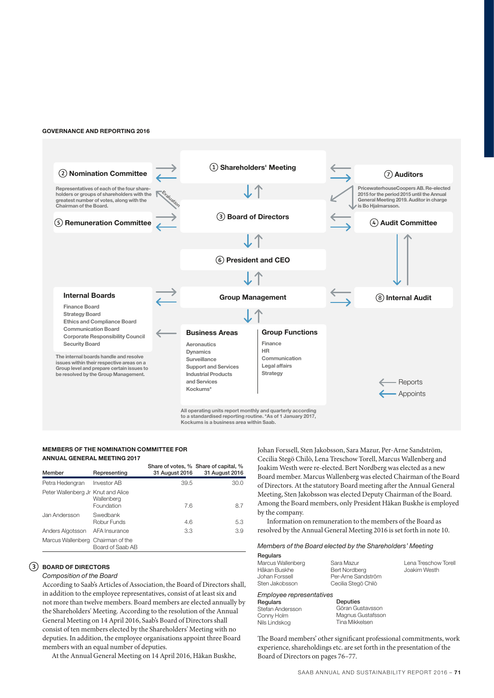#### GOVERNANCE AND REPORTING 2016



# MEMBERS OF THE NOMINATION COMMITTEE FOR ANNUAL GENERAL MEETING 2017

| Member                             | Representing             | 31 August 2016 | Share of votes, % Share of capital, %<br>31 August 2016 |
|------------------------------------|--------------------------|----------------|---------------------------------------------------------|
| Petra Hedengran                    | <b>Investor AB</b>       | 39.5           | 30.0                                                    |
| Peter Wallenberg Jr Knut and Alice | Wallenberg<br>Foundation | 7.6            | 8.7                                                     |
| Jan Andersson                      | Swedbank<br>Robur Funds  | 4.6            | 5.3                                                     |
| Anders Algotsson                   | AFA Insurance            | 3.3            | 3.9                                                     |
| Marcus Wallenberg Chairman of the  | Board of Saab AB         |                |                                                         |

# BOARD OF DIRECTORS

# *Composition of the Board*

According to Saab's Articles of Association, the Board of Directors shall, in addition to the employee representatives, consist of at least six and not more than twelve members. Board members are elected annually by the Shareholders' Meeting. According to the resolution of the Annual General Meeting on 14 April 2016, Saab's Board of Directors shall consist of ten members elected by the Shareholders' Meeting with no deputies. In addition, the employee organisations appoint three Board members with an equal number of deputies.

At the Annual General Meeting on 14 April 2016, Håkan Buskhe,

Johan Forssell, Sten Jakobsson, Sara Mazur, Per-Arne Sandström, Cecilia Stegö Chilò, Lena Treschow Torell, Marcus Wallenberg and Joakim Westh were re-elected. Bert Nordberg was elected as a new Board member. Marcus Wallenberg was elected Chairman of the Board of Directors. At the statutory Board meeting after the Annual General Meeting, Sten Jakobsson was elected Deputy Chairman of the Board. Among the Board members, only President Håkan Buskhe is employed by the company.

Information on remuneration to the members of the Board as resolved by the Annual General Meeting 2016 is set forth in note 10.

#### *Members of the Board elected by the Shareholders' Meeting*

| Regulars          |                      |
|-------------------|----------------------|
| Marcus Wallenberg | Sara Mazur           |
| Håkan Buskhe      | <b>Bert Nordberg</b> |
| Johan Forssell    | Per-Arne Sandström   |
| Sten Jakobsson    | Cecilia Stegö Chilò  |
|                   |                      |

Lena Treschow Torell Joakim Westh

# *Employee representatives* Deputies

**Regulars** Stefan Andersson Conny Holm Nils Lindskog

Göran Gustavsson Magnus Gustafsson Tina Mikkelsen

The Board members' other significant professional commitments, work experience, shareholdings etc. are set forth in the presentation of the Board of Directors on pages 76–77.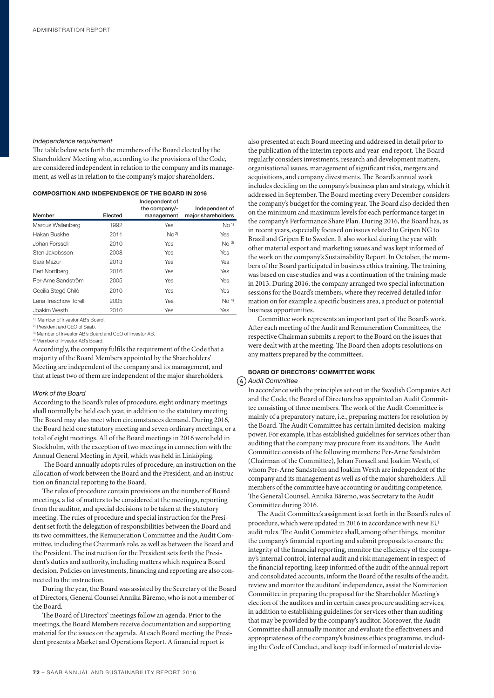### *Independence requirement*

The table below sets forth the members of the Board elected by the Shareholders' Meeting who, according to the provisions of the Code, are considered independent in relation to the company and its management, as well as in relation to the company's major shareholders.

# COMPOSITION AND INDEPENDENCE OF THE BOARD IN 2016

| Member               | Elected | Independent of<br>the company/-<br>management | Independent of<br>major shareholders |
|----------------------|---------|-----------------------------------------------|--------------------------------------|
| Marcus Wallenberg    | 1992    | Yes                                           | No <sup>1</sup>                      |
| Håkan Buskhe         | 2011    | No <sup>2</sup>                               | <b>Yes</b>                           |
| Johan Forssell       | 2010    | Yes                                           | No <sup>3</sup>                      |
| Sten Jakobsson       | 2008    | Yes                                           | Yes                                  |
| Sara Mazur           | 2013    | Yes                                           | Yes                                  |
| <b>Bert Nordberg</b> | 2016    | Yes                                           | Yes                                  |
| Per-Arne Sandström   | 2005    | Yes                                           | Yes                                  |
| Cecilia Stegö Chilò  | 2010    | Yes                                           | Yes                                  |
| Lena Treschow Torell | 2005    | Yes                                           | No <sup>4</sup>                      |
| Joakim Westh         | 2010    | Yes                                           | Yes                                  |

1) Member of Investor AB's Board.

2) President and CEO of Saab.

3) Member of Investor AB's Board and CEO of Investor AB. 4) Member of Investor AB's Board.

Accordingly, the company fulfils the requirement of the Code that a majority of the Board Members appointed by the Shareholders' Meeting are independent of the company and its management, and that at least two of them are independent of the major shareholders.

### *Work of the Board*

According to the Board's rules of procedure, eight ordinary meetings shall normally be held each year, in addition to the statutory meeting. The Board may also meet when circumstances demand. During 2016, the Board held one statutory meeting and seven ordinary meetings, or a total of eight meetings. All of the Board meetings in 2016 were held in Stockholm, with the exception of two meetings in connection with the Annual General Meeting in April, which was held in Linköping.

 The Board annually adopts rules of procedure, an instruction on the allocation of work between the Board and the President, and an instruction on financial reporting to the Board.

The rules of procedure contain provisions on the number of Board meetings, a list of matters to be considered at the meetings, reporting from the auditor, and special decisions to be taken at the statutory meeting. The rules of procedure and special instruction for the President set forth the delegation of responsibilities between the Board and its two committees, the Remuneration Committee and the Audit Committee, including the Chairman's role, as well as between the Board and the President. The instruction for the President sets forth the President's duties and authority, including matters which require a Board decision. Policies on investments, financing and reporting are also connected to the instruction.

During the year, the Board was assisted by the Secretary of the Board of Directors, General Counsel Annika Bäremo, who is not a member of the Board.

The Board of Directors' meetings follow an agenda. Prior to the meetings, the Board Members receive documentation and supporting material for the issues on the agenda. At each Board meeting the President presents a Market and Operations Report. A financial report is

also presented at each Board meeting and addressed in detail prior to the publication of the interim reports and year-end report. The Board regularly considers investments, research and development matters, organisational issues, management of significant risks, mergers and acquisitions, and company divestments. The Board's annual work includes deciding on the company's business plan and strategy, which it addressed in September. The Board meeting every December considers the company's budget for the coming year. The Board also decided then on the minimum and maximum levels for each performance target in the company's Performance Share Plan. During 2016, the Board has, as in recent years, especially focused on issues related to Gripen NG to Brazil and Gripen E to Sweden. It also worked during the year with other material export and marketing issues and was kept informed of the work on the company's Sustainability Report. In October, the members of the Board participated in business ethics training. The training was based on case studies and was a continuation of the training made in 2013. During 2016, the company arranged two special information sessions for the Board's members, where they received detailed information on for example a specific business area, a product or potential business opportunities.

Committee work represents an important part of the Board's work. After each meeting of the Audit and Remuneration Committees, the respective Chairman submits a report to the Board on the issues that were dealt with at the meeting. The Board then adopts resolutions on any matters prepared by the committees.

# BOARD OF DIRECTORS' COMMITTEE WORK *Audit Committee*

In accordance with the principles set out in the Swedish Companies Act and the Code, the Board of Directors has appointed an Audit Committee consisting of three members. The work of the Audit Committee is mainly of a preparatory nature, i.e., preparing matters for resolution by the Board. The Audit Committee has certain limited decision-making power. For example, it has established guidelines for services other than auditing that the company may procure from its auditors. The Audit Committee consists of the following members: Per-Arne Sandström (Chairman of the Committee), Johan Forssell and Joakim Westh, of whom Per-Arne Sandström and Joakim Westh are independent of the company and its management as well as of the major shareholders. All members of the committee have accounting or auditing competence. The General Counsel, Annika Bäremo, was Secretary to the Audit Committee during 2016.

The Audit Committee's assignment is set forth in the Board's rules of procedure, which were updated in 2016 in accordance with new EU audit rules. The Audit Committee shall, among other things, monitor the company's financial reporting and submit proposals to ensure the integrity of the financial reporting, monitor the efficiency of the company's internal control, internal audit and risk management in respect of the financial reporting, keep informed of the audit of the annual report and consolidated accounts, inform the Board of the results of the audit, review and monitor the auditors' independence, assist the Nomination Committee in preparing the proposal for the Shareholder Meeting's election of the auditors and in certain cases procure auditing services, in addition to establishing guidelines for services other than auditing that may be provided by the company's auditor. Moreover, the Audit Committee shall annually monitor and evaluate the effectiveness and appropriateness of the company's business ethics programme, including the Code of Conduct, and keep itself informed of material devia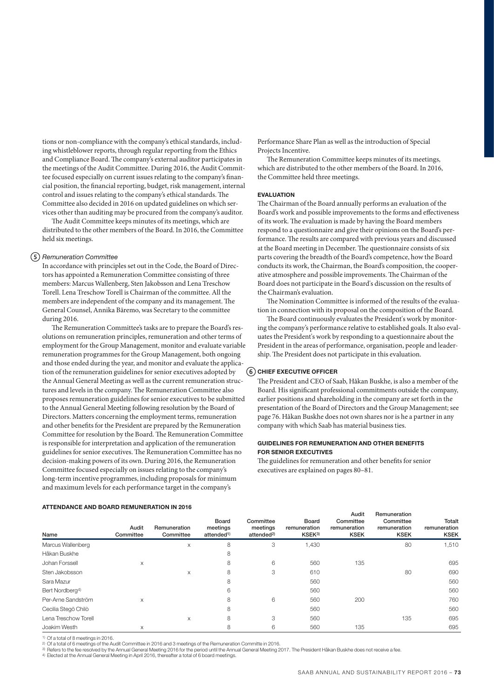tions or non-compliance with the company's ethical standards, including whistleblower reports, through regular reporting from the Ethics and Compliance Board. The company's external auditor participates in the meetings of the Audit Committee. During 2016, the Audit Committee focused especially on current issues relating to the company's financial position, the financial reporting, budget, risk management, internal control and issues relating to the company's ethical standards. The Committee also decided in 2016 on updated guidelines on which services other than auditing may be procured from the company's auditor.

The Audit Committee keeps minutes of its meetings, which are distributed to the other members of the Board. In 2016, the Committee held six meetings.

#### *Remuneration Committee*

In accordance with principles set out in the Code, the Board of Directors has appointed a Remuneration Committee consisting of three members: Marcus Wallenberg, Sten Jakobsson and Lena Treschow Torell. Lena Treschow Torell is Chairman of the committee. All the members are independent of the company and its management. The General Counsel, Annika Bäremo, was Secretary to the committee during 2016.

The Remuneration Committee's tasks are to prepare the Board's resolutions on remuneration principles, remuneration and other terms of employment for the Group Management, monitor and evaluate variable remuneration programmes for the Group Management, both ongoing and those ended during the year, and monitor and evaluate the application of the remuneration guidelines for senior executives adopted by the Annual General Meeting as well as the current remuneration structures and levels in the company. The Remuneration Committee also proposes remuneration guidelines for senior executives to be submitted to the Annual General Meeting following resolution by the Board of Directors. Matters concerning the employment terms, remuneration and other benefits for the President are prepared by the Remuneration Committee for resolution by the Board. The Remuneration Committee is responsible for interpretation and application of the remuneration guidelines for senior executives. The Remuneration Committee has no decision-making powers of its own. During 2016, the Remuneration Committee focused especially on issues relating to the company's long-term incentive programmes, including proposals for minimum and maximum levels for each performance target in the company's

Performance Share Plan as well as the introduction of Special Projects Incentive.

The Remuneration Committee keeps minutes of its meetings, which are distributed to the other members of the Board. In 2016, the Committee held three meetings.

#### EVALUATION

The Chairman of the Board annually performs an evaluation of the Board's work and possible improvements to the forms and effectiveness of its work. The evaluation is made by having the Board members respond to a questionnaire and give their opinions on the Board's performance. The results are compared with previous years and discussed at the Board meeting in December. The questionnaire consists of six parts covering the breadth of the Board's competence, how the Board conducts its work, the Chairman, the Board's composition, the cooperative atmosphere and possible improvements. The Chairman of the Board does not participate in the Board's discussion on the results of the Chairman's evaluation.

The Nomination Committee is informed of the results of the evaluation in connection with its proposal on the composition of the Board.

The Board continuously evaluates the President's work by monitoring the company's performance relative to established goals. It also evaluates the President's work by responding to a questionnaire about the President in the areas of performance, organisation, people and leadership. The President does not participate in this evaluation.

### $(6)$  CHIEF EXECUTIVE OFFICER

The President and CEO of Saab, Håkan Buskhe, is also a member of the Board. His significant professional commitments outside the company, earlier positions and shareholding in the company are set forth in the presentation of the Board of Directors and the Group Management; see page 76. Håkan Buskhe does not own shares nor is he a partner in any company with which Saab has material business ties.

# GUIDELINES FOR REMUNERATION AND OTHER BENEFITS FOR SENIOR EXECUTIVES

The guidelines for remuneration and other benefits for senior executives are explained on pages 80–81.

| Name                        | Audit<br>Committee | Remuneration<br>Committee | <b>Board</b><br>meetings<br>attended <sup>1)</sup> | Committee<br>meetings<br>attended <sup>2)</sup> | Board<br>remuneration<br>KSEK3) | Audit<br>Committee<br>remuneration<br><b>KSEK</b> | Remuneration<br>Committee<br>remuneration<br><b>KSEK</b> | Totalt<br>remuneration<br><b>KSEK</b> |
|-----------------------------|--------------------|---------------------------|----------------------------------------------------|-------------------------------------------------|---------------------------------|---------------------------------------------------|----------------------------------------------------------|---------------------------------------|
| Marcus Wallenberg           |                    | X                         | 8                                                  | 3                                               | 1,430                           |                                                   | 80                                                       | 1,510                                 |
| Håkan Buskhe                |                    |                           | 8                                                  |                                                 |                                 |                                                   |                                                          |                                       |
| Johan Forssell              | X                  |                           | 8                                                  | 6                                               | 560                             | 135                                               |                                                          | 695                                   |
| Sten Jakobsson              |                    | X                         | 8                                                  | 3                                               | 610                             |                                                   | 80                                                       | 690                                   |
| Sara Mazur                  |                    |                           | 8                                                  |                                                 | 560                             |                                                   |                                                          | 560                                   |
| Bert Nordberg <sup>4)</sup> |                    |                           | 6                                                  |                                                 | 560                             |                                                   |                                                          | 560                                   |
| Per-Arne Sandström          | X                  |                           | 8                                                  | 6                                               | 560                             | 200                                               |                                                          | 760                                   |
| Cecilia Stegö Chilò         |                    |                           | 8                                                  |                                                 | 560                             |                                                   |                                                          | 560                                   |
| Lena Treschow Torell        |                    | X                         | 8                                                  | 3                                               | 560                             |                                                   | 135                                                      | 695                                   |
| Joakim Westh                | $\times$           |                           | 8                                                  | 6                                               | 560                             | 135                                               |                                                          | 695                                   |
|                             |                    |                           |                                                    |                                                 |                                 |                                                   |                                                          |                                       |

#### ATTENDANCE AND BOARD REMUNERATION IN 2016

1) Of a total of 8 meetings in 2016.

<sup>2)</sup> Of a total of 6 meetings of the Audit Committee in 2016 and 3 meetings of the Remuneration Committe in 2016.<br><sup>3)</sup> Refers to the fee resolved by the Annual General Meeting 2016 for the period until the Annual General

4) Elected at the Annual General Meeting in April 2016, thereafter a total of 6 board meetings.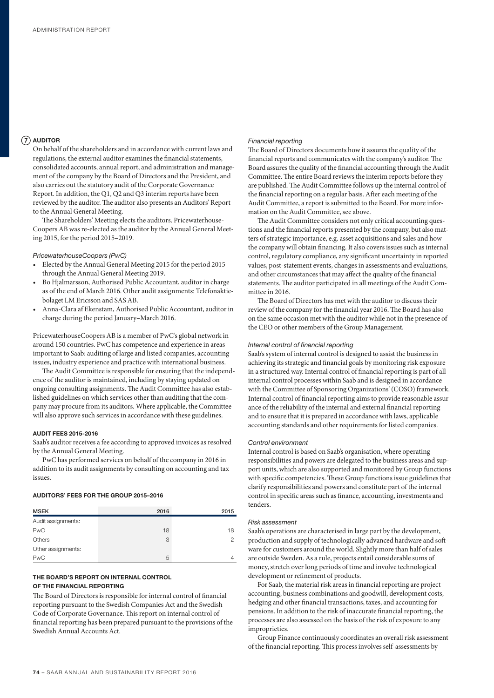# $(7)$  AUDITOR

On behalf of the shareholders and in accordance with current laws and regulations, the external auditor examines the financial statements, consolidated accounts, annual report, and administration and management of the company by the Board of Directors and the President, and also carries out the statutory audit of the Corporate Governance Report. In addition, the Q1, Q2 and Q3 interim reports have been reviewed by the auditor. The auditor also presents an Auditors' Report to the Annual General Meeting.

The Shareholders' Meeting elects the auditors. Pricewaterhouse-Coopers AB was re-elected as the auditor by the Annual General Meeting 2015, for the period 2015–2019.

#### *PricewaterhouseCoopers (PwC)*

- Elected by the Annual General Meeting 2015 for the period 2015 through the Annual General Meeting 2019.
- Bo Hjalmarsson, Authorised Public Accountant, auditor in charge as of the end of March 2016. Other audit assignments: Telefonaktiebolaget LM Ericsson and SAS AB.
- Anna-Clara af Ekenstam, Authorised Public Accountant, auditor in charge during the period January–March 2016.

PricewaterhouseCoopers AB is a member of PwC's global network in around 150 countries. PwC has competence and experience in areas important to Saab: auditing of large and listed companies, accounting issues, industry experience and practice with international business.

The Audit Committee is responsible for ensuring that the independence of the auditor is maintained, including by staying updated on ongoing consulting assignments. The Audit Committee has also established guidelines on which services other than auditing that the company may procure from its auditors. Where applicable, the Committee will also approve such services in accordance with these guidelines.

# AUDIT FEES 2015-2016

Saab's auditor receives a fee according to approved invoices as resolved by the Annual General Meeting.

PwC has performed services on behalf of the company in 2016 in addition to its audit assignments by consulting on accounting and tax issues.

# AUDITORS' FEES FOR THE GROUP 2015–2016

| <b>MSEK</b>        | 2016 | 2015 |
|--------------------|------|------|
| Audit assignments: |      |      |
| <b>PwC</b>         | 18   | 18   |
| Others             | 3    |      |
| Other assignments: |      |      |
| <b>PwC</b>         | 5    |      |

# THE BOARD'S REPORT ON INTERNAL CONTROL OF THE FINANCIAL REPORTING

The Board of Directors is responsible for internal control of financial reporting pursuant to the Swedish Companies Act and the Swedish Code of Corporate Governance. This report on internal control of financial reporting has been prepared pursuant to the provisions of the Swedish Annual Accounts Act.

#### *Financial reporting*

The Board of Directors documents how it assures the quality of the financial reports and communicates with the company's auditor. The Board assures the quality of the financial accounting through the Audit Committee. The entire Board reviews the interim reports before they are published. The Audit Committee follows up the internal control of the financial reporting on a regular basis. After each meeting of the Audit Committee, a report is submitted to the Board. For more information on the Audit Committee, see above.

The Audit Committee considers not only critical accounting questions and the financial reports presented by the company, but also matters of strategic importance, e.g. asset acquisitions and sales and how the company will obtain financing. It also covers issues such as internal control, regulatory compliance, any significant uncertainty in reported values, post-statement events, changes in assessments and evaluations, and other circumstances that may affect the quality of the financial statements. The auditor participated in all meetings of the Audit Committee in 2016.

The Board of Directors has met with the auditor to discuss their review of the company for the financial year 2016. The Board has also on the same occasion met with the auditor while not in the presence of the CEO or other members of the Group Management.

#### *Internal control of financial reporting*

Saab's system of internal control is designed to assist the business in achieving its strategic and financial goals by monitoring risk exposure in a structured way. Internal control of financial reporting is part of all internal control processes within Saab and is designed in accordance with the Committee of Sponsoring Organizations' (COSO) framework. Internal control of financial reporting aims to provide reasonable assurance of the reliability of the internal and external financial reporting and to ensure that it is prepared in accordance with laws, applicable accounting standards and other requirements for listed companies.

#### *Control environment*

Internal control is based on Saab's organisation, where operating responsibilities and powers are delegated to the business areas and support units, which are also supported and monitored by Group functions with specific competencies. These Group functions issue guidelines that clarify responsibilities and powers and constitute part of the internal control in specific areas such as finance, accounting, investments and tenders.

### *Risk assessment*

Saab's operations are characterised in large part by the development, production and supply of technologically advanced hardware and software for customers around the world. Slightly more than half of sales are outside Sweden. As a rule, projects entail considerable sums of money, stretch over long periods of time and involve technological development or refinement of products.

For Saab, the material risk areas in financial reporting are project accounting, business combinations and goodwill, development costs, hedging and other financial transactions, taxes, and accounting for pensions. In addition to the risk of inaccurate financial reporting, the processes are also assessed on the basis of the risk of exposure to any improprieties.

Group Finance continuously coordinates an overall risk assessment of the financial reporting. This process involves self-assessments by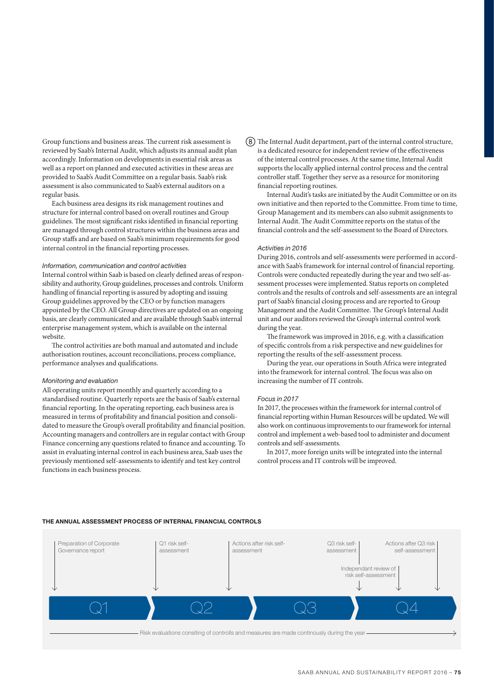Group functions and business areas. The current risk assessment is reviewed by Saab's Internal Audit, which adjusts its annual audit plan accordingly. Information on developments in essential risk areas as well as a report on planned and executed activities in these areas are provided to Saab's Audit Committee on a regular basis. Saab's risk assessment is also communicated to Saab's external auditors on a regular basis.

Each business area designs its risk management routines and structure for internal control based on overall routines and Group guidelines. The most significant risks identified in financial reporting are managed through control structures within the business areas and Group staffs and are based on Saab's minimum requirements for good internal control in the financial reporting processes.

### *Information, communication and control activities*

Internal control within Saab is based on clearly defined areas of responsibility and authority, Group guidelines, processes and controls. Uniform handling of financial reporting is assured by adopting and issuing Group guidelines approved by the CEO or by function managers appointed by the CEO. All Group directives are updated on an ongoing basis, are clearly communicated and are available through Saab's internal enterprise management system, which is available on the internal website.

The control activities are both manual and automated and include authorisation routines, account reconciliations, process compliance, performance analyses and qualifications.

#### *Monitoring and evaluation*

All operating units report monthly and quarterly according to a standardised routine. Quarterly reports are the basis of Saab's external financial reporting. In the operating reporting, each business area is measured in terms of profitability and financial position and consolidated to measure the Group's overall profitability and financial position. Accounting managers and controllers are in regular contact with Group Finance concerning any questions related to finance and accounting. To assist in evaluating internal control in each business area, Saab uses the previously mentioned self-assessments to identify and test key control functions in each business process.

The Internal Audit department, part of the internal control structure, is a dedicated resource for independent review of the effectiveness of the internal control processes. At the same time, Internal Audit supports the locally applied internal control process and the central controller staff. Together they serve as a resource for monitoring financial reporting routines.

Internal Audit's tasks are initiated by the Audit Committee or on its own initiative and then reported to the Committee. From time to time, Group Management and its members can also submit assignments to Internal Audit. The Audit Committee reports on the status of the financial controls and the self-assessment to the Board of Directors.

# *Activities in 2016*

During 2016, controls and self-assessments were performed in accordance with Saab's framework for internal control of financial reporting. Controls were conducted repeatedly during the year and two self-assessment processes were implemented. Status reports on completed controls and the results of controls and self-assessments are an integral part of Saab's financial closing process and are reported to Group Management and the Audit Committee. The Group's Internal Audit unit and our auditors reviewed the Group's internal control work during the year.

The framework was improved in 2016, e.g. with a classification of specific controls from a risk perspective and new guidelines for reporting the results of the self-assessment process.

During the year, our operations in South Africa were integrated into the framework for internal control. The focus was also on increasing the number of IT controls.

# *Focus in 2017*

In 2017, the processes within the framework for internal control of financial reporting within Human Resources will be updated. We will also work on continuous improvements to our framework for internal control and implement a web-based tool to administer and document controls and self-assessments.

In 2017, more foreign units will be integrated into the internal control process and IT controls will be improved.



#### THE ANNUAL ASSESSMENT PROCESS OF INTERNAL FINANCIAL CONTROLS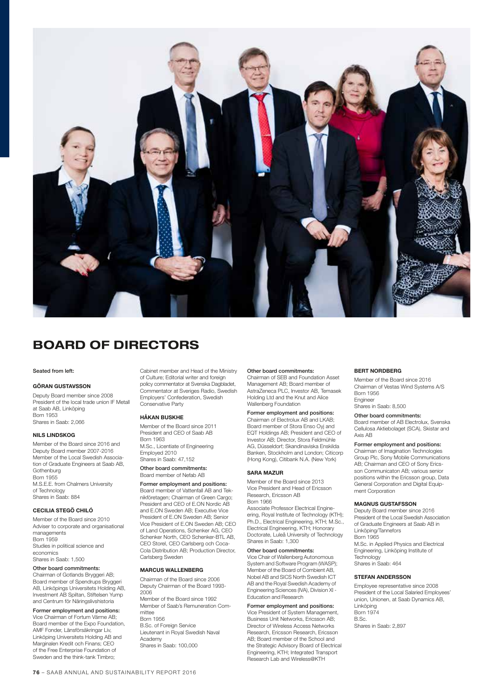

# BOARD OF DIRECTORS

#### Seated from left:

#### GÖRAN GUSTAVSSON

Deputy Board member since 2008 President of the local trade union IF Metall at Saab AB, Linköping Born 1953 Shares in Saab: 2,066

#### NILS LINDSKOG

Member of the Board since 2016 and Deputy Board member 2007-2016 Member of the Local Swedish Association of Graduate Engineers at Saab AB, **Gothenburg** Born 1955 M.S.E.E. from Chalmers University of Technology Shares in Saab: 884

#### CECILIA STEGÖ CHILÓ

Member of the Board since 2010 Adviser to corporate and organisational managements Born 1959 Studies in political science and economics Shares in Saab: 1,500

#### Other board commitments:

Chairman of Gotlands Bryggeri AB; Board member of Spendrups Bryggeri AB, Linköpings Universitets Holding AB, Investment AB Spiltan, Stiftelsen Yump and Centrum för Näringslivshistoria

### Former employment and positions:

Vice Chairman of Fortum Värme AB; Board member of the Expo Foundation, AMF Fonder, Länsförsäkringar Liv, Linköping Universitets Holding AB and Marginalen Kredit och Finans; CEO of the Free Enterprise Foundation of Sweden and the think-tank Timbro;

Cabinet member and Head of the Ministry of Culture; Editorial writer and foreign policy commentator at Svenska Dagbladet, Commentator at Sveriges Radio, Swedish Employers' Confederation, Swedish Conservative Party

#### HÅKAN BUSKHE

Member of the Board since 2011 President and CEO of Saab AB Born 1963 M.Sc., Licentiate of Engineering Employed 2010

Shares in Saab: 47,152 Other board commitments:

# Board member of Nefab AB

Former employment and positions: Board member of Vattenfall AB and Teknikföretagen; Chairman of Green Cargo; President and CEO of E.ON Nordic AB and E.ON Sweden AB; Executive Vice President of E.ON Sweden AB; Senior Vice President of E.ON Sweden AB; CEO of Land Operations, Schenker AG, CEO Schenker North, CEO Schenker-BTL AB, CEO Storel, CEO Carlsberg och Coca-Cola Distribution AB; Production Director, Carlsberg Sweden

#### MARCUS WALLENBERG

Chairman of the Board since 2006 Deputy Chairman of the Board 1993- 2006 Member of the Board since 1992 Member of Saab's Remuneration Committee Born 1956 B.Sc. of Foreign Service Lieutenant in Royal Swedish Naval Academy Shares in Saab: 100,000

#### Other board commitments:

Chairman of SEB and Foundation Asset Management AB; Board member of AstraZeneca PLC, Investor AB, Temasek Holding Ltd and the Knut and Alice Wallenberg Foundation

# Former employment and positions:

Chairman of Electrolux AB and LKAB; Board member of Stora Enso Oyj and EQT Holdings AB; President and CEO of Investor AB; Director, Stora Feldmühle AG, Düsseldorf; Skandinaviska Enskilda Banken, Stockholm and London; Citicorp (Hong Kong), Citibank N.A. (New York)

#### SARA MAZUR

Member of the Board since 2013 Vice President and Head of Ericsson Research, Ericsson AB Born 1966 Associate Professor Electrical Engine-

ering, Royal Institute of Technology (KTH); Ph.D., Electrical Engineering, KTH; M.Sc., Electrical Engineering, KTH; Honorary Doctorate, Luleå University of Technology Shares in Saab: 1,300

#### Other board commitments:

Vice Chair of Wallenberg Autonomous System and Software Program (WASP); Member of the Board of Combient AB, Nobel AB and SICS North Swedish ICT AB and the Royal Swedish Academy of Engineering Sciences (IVA), Division XI - Education and Research

Former employment and positions: Vice President of System Management, Business Unit Networks, Ericsson AB; Director of Wireless Access Networks Research, Ericsson Research, Ericsson AB; Board member of the School and the Strategic Advisory Board of Electrical Engineering, KTH; Integrated Transport

Research Lab and Wireless@KTH

#### BERT NORDBERG

Member of the Board since 2016 Chairman of Vestas Wind Systems A/S Born 1956 Engineer Shares in Saah: 8,500

#### Other board commitments:

Board member of AB Electrolux, Svenska Cellulosa Aktiebolaget (SCA), Skistar and Axis AB

#### Former employment and positions:

Chairman of Imagination Technologies Group Plc, Sony Mobile Communications AB; Chairman and CEO of Sony Ericsson Communicaton AB; various senior positions within the Ericsson group, Data General Corporation and Digital Equipment Corporation

#### MAGNUS GUSTAFSSON

Deputy Board member since 2016 President of the Local Swedish Association of Graduate Engineers at Saab AB in Linköping/Tannefors Born 1965 M.Sc. in Applied Physics and Electrical Engineering, Linköping Institute of **Technology** 

# Shares in Saab: 464 STEFAN ANDERSSON

Employee representative since 2008 President of the Local Salaried Employees' union, Unionen, at Saab Dynamics AB, Linköping Born 1974 B.Sc. Shares in Saab: 2,897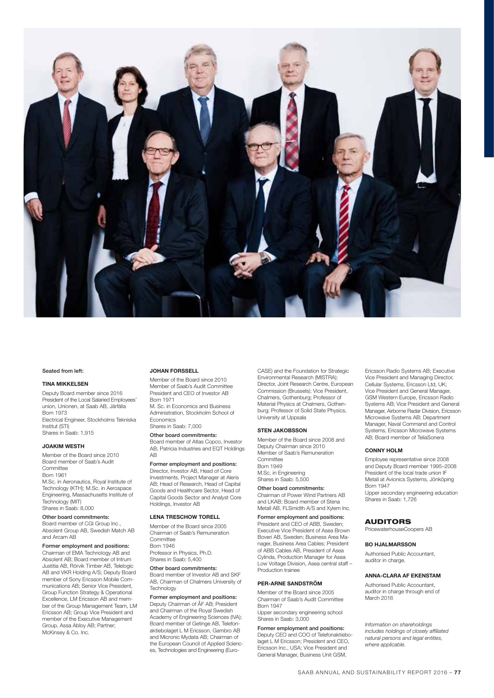

#### Seated from left:

#### TINA MIKKELSEN

Deputy Board member since 2016 President of the Local Salaried Employees' union, Unionen, at Saab AB, Järfälla Born 1973 Electrical Engineer, Stockholms Tekniska Institut (STI) Shares in Saab: 1,915

#### JOAKIM WESTH

Member of the Board since 2010 Board member of Saab's Audit **Committee** Born 1961 M.Sc. in Aeronautics, Royal Institute of Technology (KTH); M.Sc. in Aerospace

Engineering, Massachusetts Institute of Technology (MIT) Shares in Saab: 8,000

# Other board commitments:

Board member of CGI Group Inc., Absolent Group AB, Swedish Match AB and Arcam AB

Former employment and positions:<br>Chairman of EMA Technology AB and Absolent AB; Board member of Intrum Justitia AB, Rörvik Timber AB, Telelogic AB and VKR Holding A/S; Deputy Board member of Sony Ericsson Mobile Communications AB; Senior Vice President, Group Function Strategy & Operational Excellence, LM Ericsson AB and member of the Group Management Team, LM Ericsson AB; Group Vice President and member of the Executive Management Group, Assa Abloy AB; Partner; McKinsey & Co. Inc.

#### JOHAN FORSSELL

Member of the Board since 2010 Member of Saab's Audit Committee President and CEO of Investor AB Born 1971 M. Sc. in Economics and Business

Administration, Stockholm School of Economics Shares in Saab: 7,000

Other board commitments: Board member of Atlas Copco, Investor AB, Patricia Industries and EQT Holdings AB

### Former employment and positions:

Director, Investor AB, Head of Core Investments, Project Manager at Aleris AB; Head of Research, Head of Capital Goods and Healthcare Sector, Head of Capital Goods Sector and Analyst Core Holdings, Investor AB

#### LENA TRESCHOW TORELL

Member of the Board since 2005 Chairman of Saab's Remuneration Committee Born 1946 Professor in Physics, Ph.D. Shares in Saab: 5,400

#### Other board commitments:

Board member of Investor AB and SKF AB, Chairman of Chalmers University of **Technology** 

#### Former employment and positions:

Deputy Chairman of ÅF AB; President and Chairman of the Royal Swedish Academy of Engineering Sciences (IVA); Board member of Getinge AB, Telefonaktiebolaget L M Ericsson, Gambro AB and Micronic Mydata AB; Chairman of the European Council of Applied Sciences, Technologies and Engineering (EuroCASE) and the Foundation for Strategic Environmental Research (MISTRA); Director, Joint Research Centre, European Commission (Brussels); Vice President, Chalmers, Gothenburg; Professor of Material Physics at Chalmers, Gothenburg; Professor of Solid State Physics, University at Uppsala

#### STEN JAKOBSSON

Member of the Board since 2008 and Deputy Chairman since 2010 Member of Saab's Remuneration **Committee** Born 1949 M.Sc. in Engineering Shares in Saab: 5,500

Other board commitments:

Chairman of Power Wind Partners AB and LKAB; Board member of Stena Metall AB, FLSmidth A/S and Xylem Inc.

Former employment and positions: President and CEO of ABB, Sweden; Executive Vice President of Asea Brown Boveri AB, Sweden; Business Area Manager, Business Area Cables; President of ABB Cables AB, President of Asea Cylinda, Production Manager for Asea Low Voltage Division, Asea central staff – Production trainee

#### PER-ARNE SANDSTRÖM

Member of the Board since 2005 Chairman of Saab's Audit Committee Born 1947 Upper secondary engineering school

Shares in Saab: 3,000

Former employment and positions: Deputy CEO and COO of Telefonaktiebolaget L M Ericsson; President and CEO, Ericsson Inc., USA; Vice President and General Manager, Business Unit GSM,

Ericsson Radio Systems AB; Executive Vice President and Managing Director, Cellular Systems, Ericsson Ltd, UK; Vice President and General Manager, GSM Western Europe, Ericsson Radio Systems AB; Vice President and General Manager, Airborne Radar Division, Ericsson Microwave Systems AB; Department Manager, Naval Command and Control Systems, Ericsson Microwave Systems AB; Board member of TeliaSonera

#### CONNY HOLM

Employee representative since 2008 and Deputy Board member 1995–2008 President of the local trade union IF Metall at Avionics Systems, Jönköping Born 1947 Upper secondary engineering education Shares in Saab: 1,726

# AUDITORS

PricewaterhouseCoopers AB

#### BO HJALMARSSON

Authorised Public Accountant, auditor in charge.

#### ANNA-CLARA AF EKENSTAM

Authorised Public Accountant, auditor in charge through end of March 2016

*Information on shareholdings includes holdings of closely affiliated natural persons and legal entities, where applicable.*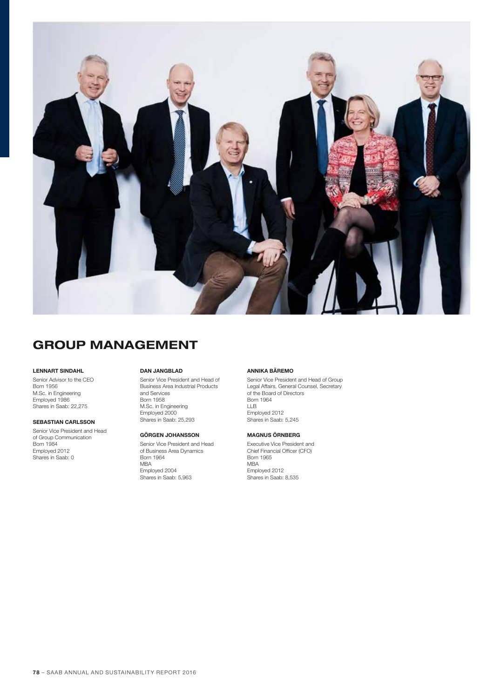

# GROUP MANAGEMENT

# LENNART SINDAHL

Senior Advisor to the CEO **Born 1956** M.Sc. in Engineering Employed 1986 Shares in Saab: 22,275

# SEBASTIAN CARLSSON

Senior Vice President and Head of Group Communication Born 1984 Employed 2012 Shares in Saab: 0

#### DAN JANGBLAD

Senior Vice President and Head of Business Area Industrial Products and Services Born 1958 M.Sc. in Engineering Employed 2000 Shares in Saab: 25,293

#### GÖRGEN JOHANSSON

Senior Vice President and Head of Business Area Dynamics Born 1964 MBA Employed 2004 Shares in Saab: 5,963

# ANNIKA BÄREMO

Senior Vice President and Head of Group Legal Affairs, General Counsel, Secretary of the Board of Directors Born 1964 LLB Employed 2012 Shares in Saab: 5,245

#### MAGNUS ÖRNBERG

Executive Vice President and Chief Financial Officer (CFO) Born 1965 MBA Employed 2012 Shares in Saab: 8,535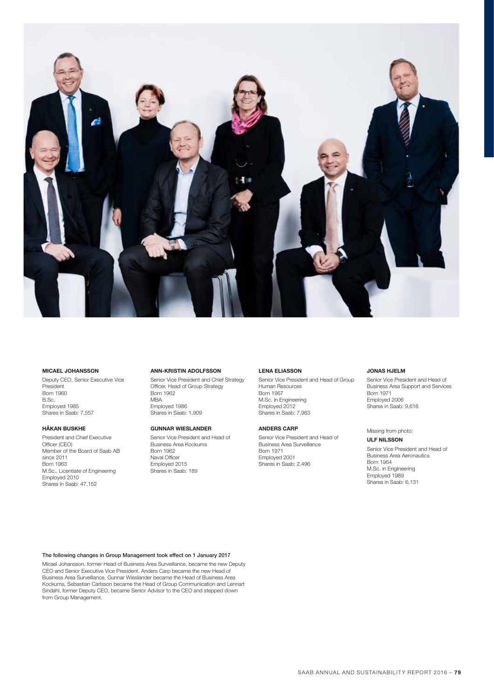

#### MICAEL JOHANSSON

Deputy CEO, Senior Executive Vice President Born 1960 B.Sc. Employed 1985 Shares in Saab: 7,557

### HÅKAN BUSKHE

President and Chief Executive Officer (CEO) Member of the Board of Saab AB since 2011 Born 1963 M.Sc., Licentiate of Engineering Employed 2010 Shares in Saab: 47,152

#### ANN-KRISTIN ADOLFSSON

Senior Vice President and Chief Strategy Officer, Head of Group Strategy Born 1962 MBA Employed 1986 Shares in Saab: 1,909

### GUNNAR WIESLANDER

Senior Vice President and Head of Business Area Kockums Born 1962 Naval Officer Employed 2015 Shares in Saab: 189

#### LENA ELIASSON

Senior Vice President and Head of Group Human Resources Born 1967 M.Sc. in Engineering Employed 2012 Shares in Saab: 7,983

#### ANDERS CARP

Senior Vice President and Head of Business Area Surveillance Born 1971 Employed 2001 Shares in Saab: 2,496

#### JONAS HJELM

Senior Vice President and Head of Business Area Support and Services Born 1971 Employed 2006 Shares in Saab: 9,616

Missing from photo: ULF NILSSON

Senior Vice President and Head of Business Area Aeronautics Born 1964 M.Sc. in Engineering Employed 1989 Shares in Saab: 6,131

The following changes in Group Management took effect on 1 January 2017

Micael Johansson, former Head of Business Area Surveillance, became the new Deputy CEO and Senior Executive Vice President. Anders Carp became the new Head of Business Area Surveillance, Gunnar Wieslander became the Head of Business Area Kockums, Sebastian Carlsson became the Head of Group Communication and Lennart Sindahl, former Deputy CEO, became Senior Advisor to the CEO and stepped down from Group Management.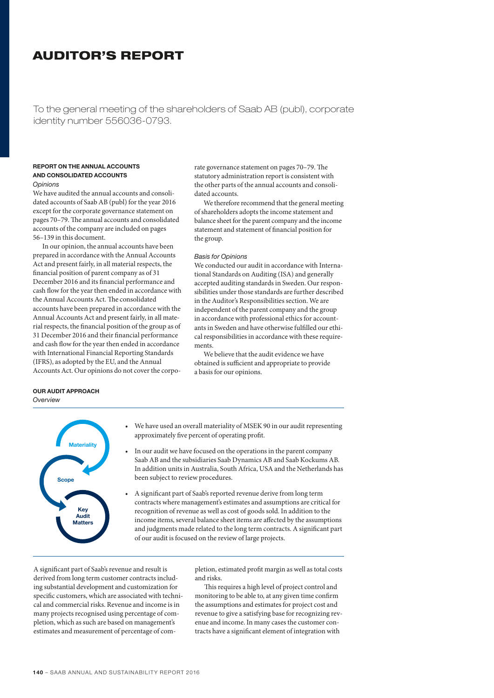# AUDITOR'S REPORT

To the general meeting of the shareholders of Saab AB (publ), corporate identity number 556036-0793.

### REPORT ON THE ANNUAL ACCOUNTS AND CONSOLIDATED ACCOUNTS *Opinions*

We have audited the annual accounts and consolidated accounts of Saab AB (publ) for the year 2016 except for the corporate governance statement on pages 70–79. The annual accounts and consolidated accounts of the company are included on pages 56–139 in this document.

In our opinion, the annual accounts have been prepared in accordance with the Annual Accounts Act and present fairly, in all material respects, the financial position of parent company as of 31 December 2016 and its financial performance and cash flow for the year then ended in accordance with the Annual Accounts Act. The consolidated accounts have been prepared in accordance with the Annual Accounts Act and present fairly, in all material respects, the financial position of the group as of 31 December 2016 and their financial performance and cash flow for the year then ended in accordance with International Financial Reporting Standards (IFRS), as adopted by the EU, and the Annual Accounts Act. Our opinions do not cover the corporate governance statement on pages 70–79. The statutory administration report is consistent with the other parts of the annual accounts and consolidated accounts.

We therefore recommend that the general meeting of shareholders adopts the income statement and balance sheet for the parent company and the income statement and statement of financial position for the group.

### *Basis for Opinions*

We conducted our audit in accordance with International Standards on Auditing (ISA) and generally accepted auditing standards in Sweden. Our responsibilities under those standards are further described in the Auditor's Responsibilities section. We are independent of the parent company and the group in accordance with professional ethics for accountants in Sweden and have otherwise fulfilled our ethical responsibilities in accordance with these requirements.

We believe that the audit evidence we have obtained is sufficient and appropriate to provide a basis for our opinions.

# OUR AUDIT APPROACH

*Overview*



We have used an overall materiality of MSEK 90 in our audit representing approximately five percent of operating profit.

- In our audit we have focused on the operations in the parent company Saab AB and the subsidiaries Saab Dynamics AB and Saab Kockums AB. In addition units in Australia, South Africa, USA and the Netherlands has been subject to review procedures.
- A significant part of Saab's reported revenue derive from long term contracts where management's estimates and assumptions are critical for recognition of revenue as well as cost of goods sold. In addition to the income items, several balance sheet items are affected by the assumptions and judgments made related to the long term contracts. A significant part of our audit is focused on the review of large projects.

A significant part of Saab's revenue and result is derived from long term customer contracts including substantial development and customization for specific customers, which are associated with technical and commercial risks. Revenue and income is in many projects recognised using percentage of completion, which as such are based on management's estimates and measurement of percentage of com-

pletion, estimated profit margin as well as total costs and risks.

This requires a high level of project control and monitoring to be able to, at any given time confirm the assumptions and estimates for project cost and revenue to give a satisfying base for recognizing revenue and income. In many cases the customer contracts have a significant element of integration with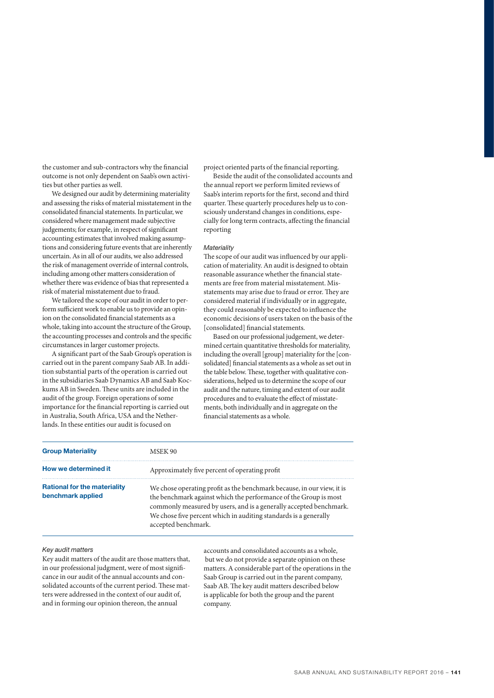the customer and sub-contractors why the financial outcome is not only dependent on Saab's own activities but other parties as well.

We designed our audit by determining materiality and assessing the risks of material misstatement in the consolidated financial statements. In particular, we considered where management made subjective judgements; for example, in respect of significant accounting estimates that involved making assumptions and considering future events that are inherently uncertain. As in all of our audits, we also addressed the risk of management override of internal controls, including among other matters consideration of whether there was evidence of bias that represented a risk of material misstatement due to fraud.

We tailored the scope of our audit in order to perform sufficient work to enable us to provide an opinion on the consolidated financial statements as a whole, taking into account the structure of the Group, the accounting processes and controls and the specific circumstances in larger customer projects.

A significant part of the Saab Group's operation is carried out in the parent company Saab AB. In addition substantial parts of the operation is carried out in the subsidiaries Saab Dynamics AB and Saab Kockums AB in Sweden. These units are included in the audit of the group. Foreign operations of some importance for the financial reporting is carried out in Australia, South Africa, USA and the Netherlands. In these entities our audit is focused on

project oriented parts of the financial reporting.

Beside the audit of the consolidated accounts and the annual report we perform limited reviews of Saab's interim reports for the first, second and third quarter. These quarterly procedures help us to consciously understand changes in conditions, especially for long term contracts, affecting the financial reporting

#### *Materiality*

The scope of our audit was influenced by our application of materiality. An audit is designed to obtain reasonable assurance whether the financial statements are free from material misstatement. Misstatements may arise due to fraud or error. They are considered material if individually or in aggregate, they could reasonably be expected to influence the economic decisions of users taken on the basis of the [consolidated] financial statements.

Based on our professional judgement, we determined certain quantitative thresholds for materiality, including the overall [group] materiality for the [consolidated] financial statements as a whole as set out in the table below. These, together with qualitative considerations, helped us to determine the scope of our audit and the nature, timing and extent of our audit procedures and to evaluate the effect of misstatements, both individually and in aggregate on the financial statements as a whole.

| <b>Group Materiality</b>                                 | MSEK 90                                                                                                                                                                                                                                                                                                     |
|----------------------------------------------------------|-------------------------------------------------------------------------------------------------------------------------------------------------------------------------------------------------------------------------------------------------------------------------------------------------------------|
| How we determined it                                     | Approximately five percent of operating profit                                                                                                                                                                                                                                                              |
| <b>Rational for the materiality</b><br>benchmark applied | We chose operating profit as the benchmark because, in our view, it is<br>the benchmark against which the performance of the Group is most<br>commonly measured by users, and is a generally accepted benchmark.<br>We chose five percent which in auditing standards is a generally<br>accepted benchmark. |

# *Key audit matters*

Key audit matters of the audit are those matters that, in our professional judgment, were of most significance in our audit of the annual accounts and consolidated accounts of the current period. These matters were addressed in the context of our audit of, and in forming our opinion thereon, the annual

accounts and consolidated accounts as a whole, but we do not provide a separate opinion on these matters. A considerable part of the operations in the Saab Group is carried out in the parent company, Saab AB. The key audit matters described below is applicable for both the group and the parent company.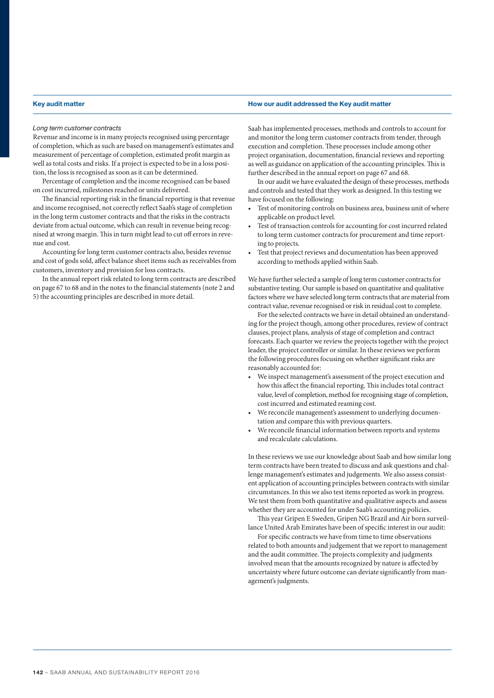#### Key audit matter **How our audit addressed the Key audit matter** How our audit addressed the Key audit matter

#### *Long term customer contracts*

Revenue and income is in many projects recognised using percentage of completion, which as such are based on management's estimates and measurement of percentage of completion, estimated profit margin as well as total costs and risks. If a project is expected to be in a loss position, the loss is recognised as soon as it can be determined.

Percentage of completion and the income recognised can be based on cost incurred, milestones reached or units delivered.

The financial reporting risk in the financial reporting is that revenue and income recognised, not correctly reflect Saab's stage of completion in the long term customer contracts and that the risks in the contracts deviate from actual outcome, which can result in revenue being recognised at wrong margin. This in turn might lead to cut off errors in revenue and cost.

Accounting for long term customer contracts also, besides revenue and cost of gods sold, affect balance sheet items such as receivables from customers, inventory and provision for loss contracts.

In the annual report risk related to long term contracts are described on page 67 to 68 and in the notes to the financial statements (note 2 and 5) the accounting principles are described in more detail.

Saab has implemented processes, methods and controls to account for and monitor the long term customer contracts from tender, through execution and completion. These processes include among other project organisation, documentation, financial reviews and reporting as well as guidance on application of the accounting principles. This is further described in the annual report on page 67 and 68.

In our audit we have evaluated the design of these processes, methods and controls and tested that they work as designed. In this testing we have focused on the following:

- Test of monitoring controls on business area, business unit of where applicable on product level.
- Test of transaction controls for accounting for cost incurred related to long term customer contracts for procurement and time reporting to projects.
- Test that project reviews and documentation has been approved according to methods applied within Saab.

We have further selected a sample of long term customer contracts for substantive testing. Our sample is based on quantitative and qualitative factors where we have selected long term contracts that are material from contract value, revenue recognised or risk in residual cost to complete.

For the selected contracts we have in detail obtained an understanding for the project though, among other procedures, review of contract clauses, project plans, analysis of stage of completion and contract forecasts. Each quarter we review the projects together with the project leader, the project controller or similar. In these reviews we perform the following procedures focusing on whether significant risks are reasonably accounted for:

- We inspect management's assessment of the project execution and how this affect the financial reporting. This includes total contract value, level of completion, method for recognising stage of completion, cost incurred and estimated reaming cost.
- We reconcile management's assessment to underlying documentation and compare this with previous quarters.
- We reconcile financial information between reports and systems and recalculate calculations.

In these reviews we use our knowledge about Saab and how similar long term contracts have been treated to discuss and ask questions and challenge management's estimates and judgements. We also assess consistent application of accounting principles between contracts with similar circumstances. In this we also test items reported as work in progress. We test them from both quantitative and qualitative aspects and assess whether they are accounted for under Saab's accounting policies.

This year Gripen E Sweden, Gripen NG Brazil and Air born surveillance United Arab Emirates have been of specific interest in our audit:

For specific contracts we have from time to time observations related to both amounts and judgement that we report to management and the audit committee. The projects complexity and judgments involved mean that the amounts recognized by nature is affected by uncertainty where future outcome can deviate significantly from management's judgments.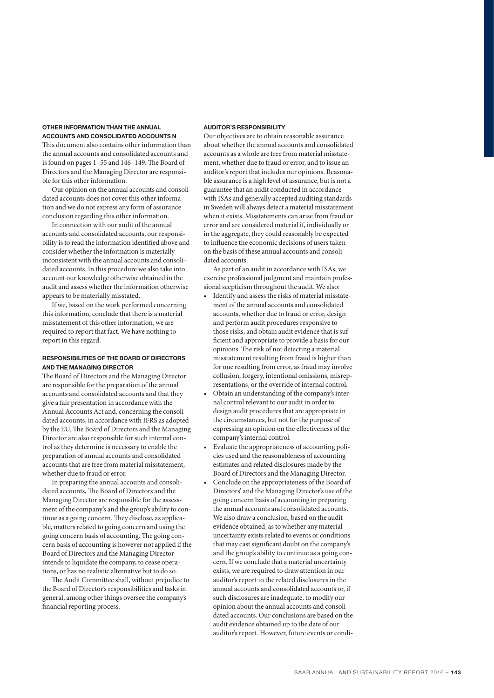#### OTHER INFORMATION THAN THE ANNUAL ACCOUNTS AND CONSOLIDATED ACCOUNTS N

This document also contains other information than the annual accounts and consolidated accounts and is found on pages 1–55 and 146–149. The Board of Directors and the Managing Director are responsible for this other information.

Our opinion on the annual accounts and consolidated accounts does not cover this other information and we do not express any form of assurance conclusion regarding this other information.

In connection with our audit of the annual accounts and consolidated accounts, our responsibility is to read the information identified above and consider whether the information is materially inconsistent with the annual accounts and consolidated accounts. In this procedure we also take into account our knowledge otherwise obtained in the audit and assess whether the information otherwise appears to be materially misstated.

If we, based on the work performed concerning this information, conclude that there is a material misstatement of this other information, we are required to report that fact. We have nothing to report in this regard.

# RESPONSIBILITIES OF THE BOARD OF DIRECTORS AND THE MANAGING DIRECTOR

The Board of Directors and the Managing Director are responsible for the preparation of the annual accounts and consolidated accounts and that they give a fair presentation in accordance with the Annual Accounts Act and, concerning the consolidated accounts, in accordance with IFRS as adopted by the EU. The Board of Directors and the Managing Director are also responsible for such internal control as they determine is necessary to enable the preparation of annual accounts and consolidated accounts that are free from material misstatement, whether due to fraud or error.

In preparing the annual accounts and consolidated accounts, The Board of Directors and the Managing Director are responsible for the assessment of the company's and the group's ability to continue as a going concern. They disclose, as applicable, matters related to going concern and using the going concern basis of accounting. The going concern basis of accounting is however not applied if the Board of Directors and the Managing Director intends to liquidate the company, to cease operations, or has no realistic alternative but to do so.

The Audit Committee shall, without prejudice to the Board of Director's responsibilities and tasks in general, among other things oversee the company's financial reporting process.

# AUDITOR'S RESPONSIBILITY

Our objectives are to obtain reasonable assurance about whether the annual accounts and consolidated accounts as a whole are free from material misstatement, whether due to fraud or error, and to issue an auditor's report that includes our opinions. Reasonable assurance is a high level of assurance, but is not a guarantee that an audit conducted in accordance with ISAs and generally accepted auditing standards in Sweden will always detect a material misstatement when it exists. Misstatements can arise from fraud or error and are considered material if, individually or in the aggregate, they could reasonably be expected to influence the economic decisions of users taken on the basis of these annual accounts and consolidated accounts.

As part of an audit in accordance with ISAs, we exercise professional judgment and maintain professional scepticism throughout the audit. We also:

- Identify and assess the risks of material misstatement of the annual accounts and consolidated accounts, whether due to fraud or error, design and perform audit procedures responsive to those risks, and obtain audit evidence that is sufficient and appropriate to provide a basis for our opinions. The risk of not detecting a material misstatement resulting from fraud is higher than for one resulting from error, as fraud may involve collusion, forgery, intentional omissions, misrepresentations, or the override of internal control.
- Obtain an understanding of the company's internal control relevant to our audit in order to design audit procedures that are appropriate in the circumstances, but not for the purpose of expressing an opinion on the effectiveness of the company's internal control.
- Evaluate the appropriateness of accounting policies used and the reasonableness of accounting estimates and related disclosures made by the Board of Directors and the Managing Director.
- Conclude on the appropriateness of the Board of Directors' and the Managing Director's use of the going concern basis of accounting in preparing the annual accounts and consolidated accounts. We also draw a conclusion, based on the audit evidence obtained, as to whether any material uncertainty exists related to events or conditions that may cast significant doubt on the company's and the group's ability to continue as a going concern. If we conclude that a material uncertainty exists, we are required to draw attention in our auditor's report to the related disclosures in the annual accounts and consolidated accounts or, if such disclosures are inadequate, to modify our opinion about the annual accounts and consolidated accounts. Our conclusions are based on the audit evidence obtained up to the date of our auditor's report. However, future events or condi-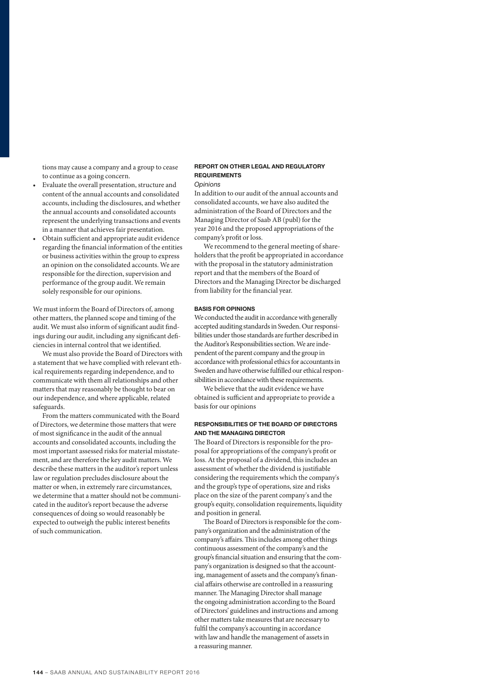tions may cause a company and a group to cease to continue as a going concern.

- Evaluate the overall presentation, structure and content of the annual accounts and consolidated accounts, including the disclosures, and whether the annual accounts and consolidated accounts represent the underlying transactions and events in a manner that achieves fair presentation.
- Obtain sufficient and appropriate audit evidence regarding the financial information of the entities or business activities within the group to express an opinion on the consolidated accounts. We are responsible for the direction, supervision and performance of the group audit. We remain solely responsible for our opinions.

We must inform the Board of Directors of, among other matters, the planned scope and timing of the audit. We must also inform of significant audit findings during our audit, including any significant deficiencies in internal control that we identified.

We must also provide the Board of Directors with a statement that we have complied with relevant ethical requirements regarding independence, and to communicate with them all relationships and other matters that may reasonably be thought to bear on our independence, and where applicable, related safeguards.

From the matters communicated with the Board of Directors, we determine those matters that were of most significance in the audit of the annual accounts and consolidated accounts, including the most important assessed risks for material misstatement, and are therefore the key audit matters. We describe these matters in the auditor's report unless law or regulation precludes disclosure about the matter or when, in extremely rare circumstances, we determine that a matter should not be communicated in the auditor's report because the adverse consequences of doing so would reasonably be expected to outweigh the public interest benefits of such communication.

# REPORT ON OTHER LEGAL AND REGULATORY REQUIREMENTS

# *Opinions*

In addition to our audit of the annual accounts and consolidated accounts, we have also audited the administration of the Board of Directors and the Managing Director of Saab AB (publ) for the year 2016 and the proposed appropriations of the company's profit or loss.

We recommend to the general meeting of shareholders that the profit be appropriated in accordance with the proposal in the statutory administration report and that the members of the Board of Directors and the Managing Director be discharged from liability for the financial year.

#### BASIS FOR OPINIONS

We conducted the audit in accordance with generally accepted auditing standards in Sweden. Our responsibilities under those standards are further described in the Auditor's Responsibilities section. We are independent of the parent company and the group in accordance with professional ethics for accountants in Sweden and have otherwise fulfilled our ethical responsibilities in accordance with these requirements.

We believe that the audit evidence we have obtained is sufficient and appropriate to provide a basis for our opinions

# RESPONSIBILITIES OF THE BOARD OF DIRECTORS AND THE MANAGING DIRECTOR

The Board of Directors is responsible for the proposal for appropriations of the company's profit or loss. At the proposal of a dividend, this includes an assessment of whether the dividend is justifiable considering the requirements which the company's and the group's type of operations, size and risks place on the size of the parent company's and the group's equity, consolidation requirements, liquidity and position in general.

The Board of Directors is responsible for the company's organization and the administration of the company's affairs. This includes among other things continuous assessment of the company's and the group's financial situation and ensuring that the company's organization is designed so that the accounting, management of assets and the company's financial affairs otherwise are controlled in a reassuring manner. The Managing Director shall manage the ongoing administration according to the Board of Directors' guidelines and instructions and among other matters take measures that are necessary to fulfil the company's accounting in accordance with law and handle the management of assets in a reassuring manner.